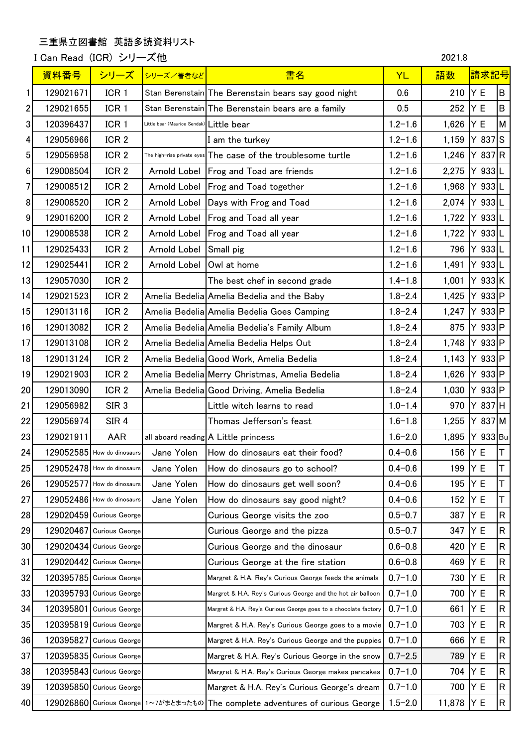## 三重県立図書館 英語多読資料リスト

I Can Read (ICR) シリーズ他 2021.8

|                 | 資料番号      | シリーズ                       | シリーズ/著者など                                | 書名                                                              | <b>YL</b>   | 語数     | 請求記号        |                         |
|-----------------|-----------|----------------------------|------------------------------------------|-----------------------------------------------------------------|-------------|--------|-------------|-------------------------|
| 1               | 129021671 | ICR <sub>1</sub>           |                                          | Stan Berenstain The Berenstain bears say good night             | 0.6         | 210    | Y E         | lв                      |
| 2               | 129021655 | ICR <sub>1</sub>           |                                          | Stan Berenstain The Berenstain bears are a family               | 0.5         | 252    | Y E         | lв                      |
| 3               | 120396437 | ICR <sub>1</sub>           | Little bear (Maurice Sendak) Little bear |                                                                 | $1.2 - 1.6$ | 1,626  | Y E         | M                       |
| 4               | 129056966 | ICR <sub>2</sub>           |                                          | I am the turkey                                                 | $1.2 - 1.6$ | 1,159  | $Y 837$ S   |                         |
| 5               | 129056958 | ICR <sub>2</sub>           |                                          | The high-rise private eyes The case of the troublesome turtle   | $1.2 - 1.6$ | 1,246  | Y 837 R     |                         |
| 6               | 129008504 | ICR <sub>2</sub>           |                                          | Arnold Lobel   Frog and Toad are friends                        | $1.2 - 1.6$ | 2,275  | Y 933 L     |                         |
| 7               | 129008512 | ICR <sub>2</sub>           | Arnold Lobel                             | <b>Frog and Toad together</b>                                   | $1.2 - 1.6$ | 1,968  | Y 933 L     |                         |
| 8               | 129008520 | ICR <sub>2</sub>           |                                          | Arnold Lobel Days with Frog and Toad                            | $1.2 - 1.6$ | 2,074  | Y 933 L     |                         |
| 9               | 129016200 | ICR <sub>2</sub>           |                                          | Arnold Lobel   Frog and Toad all year                           | $1.2 - 1.6$ | 1,722  | Y 933 L     |                         |
| 10 <sup>1</sup> | 129008538 | ICR <sub>2</sub>           |                                          | Arnold Lobel   Frog and Toad all year                           | $1.2 - 1.6$ | 1,722  | Y 933L      |                         |
| 11              | 129025433 | ICR <sub>2</sub>           | Arnold Lobel                             | Small pig                                                       | $1.2 - 1.6$ | 796    | $Y$ 933 $L$ |                         |
| 12              | 129025441 | ICR <sub>2</sub>           | Arnold Lobel Owl at home                 |                                                                 | $1.2 - 1.6$ | 1,491  | Y 933L      |                         |
| 13              | 129057030 | ICR <sub>2</sub>           |                                          | The best chef in second grade                                   | $1.4 - 1.8$ | 1,001  | $Y$ 933 K   |                         |
| 14              | 129021523 | ICR <sub>2</sub>           |                                          | Amelia Bedelia Amelia Bedelia and the Baby                      | $1.8 - 2.4$ | 1,425  | Y 933 P     |                         |
| 15              | 129013116 | ICR <sub>2</sub>           |                                          | Amelia Bedelia Amelia Bedelia Goes Camping                      | $1.8 - 2.4$ | 1,247  | $Y$ 933 P   |                         |
| 16              | 129013082 | ICR <sub>2</sub>           |                                          | Amelia Bedelia Amelia Bedelia's Family Album                    | $1.8 - 2.4$ | 875    | $Y$ 933 P   |                         |
| 17              | 129013108 | ICR <sub>2</sub>           |                                          | Amelia Bedelia Amelia Bedelia Helps Out                         | $1.8 - 2.4$ | 1,748  | $Y$ 933 P   |                         |
| 18              | 129013124 | ICR <sub>2</sub>           |                                          | Amelia Bedelia Good Work, Amelia Bedelia                        | $1.8 - 2.4$ | 1,143  | $Y$ 933 P   |                         |
| 19              | 129021903 | ICR <sub>2</sub>           |                                          | Amelia Bedelia Merry Christmas, Amelia Bedelia                  | $1.8 - 2.4$ | 1,626  | $Y$ 933 P   |                         |
| 20              | 129013090 | ICR <sub>2</sub>           |                                          | Amelia Bedelia Good Driving, Amelia Bedelia                     | $1.8 - 2.4$ | 1,030  | $Y$ 933 P   |                         |
| 21              | 129056982 | SIR <sub>3</sub>           |                                          | Little witch learns to read                                     | $1.0 - 1.4$ | 970    | $Y$ 837 H   |                         |
| 22              | 129056974 | SIR <sub>4</sub>           |                                          | Thomas Jefferson's feast                                        | $1.6 - 1.8$ | 1,255  | Y 837 M     |                         |
| 23              | 129021911 | <b>AAR</b>                 |                                          | all aboard reading A Little princess                            | $1.6 - 2.0$ | 1,895  | Y 933 Bu    |                         |
| 24              |           | 129052585 How do dinosaurs | Jane Yolen                               | How do dinosaurs eat their food?                                | $0.4 - 0.6$ | 156    | Y E         | Т                       |
| 25              |           | 129052478 How do dinosaurs | Jane Yolen                               | How do dinosaurs go to school?                                  | $0.4 - 0.6$ | 199    | Y E         | Τ                       |
| 26              |           | 129052577 How do dinosaurs | Jane Yolen                               | How do dinosaurs get well soon?                                 | $0.4 - 0.6$ | 195    | ΥE          | Τ                       |
| 27              |           | 129052486 How do dinosaurs | Jane Yolen                               | How do dinosaurs say good night?                                | $0.4 - 0.6$ | 152    | Y E         | Т                       |
| 28              |           | 129020459 Curious George   |                                          | Curious George visits the zoo                                   | $0.5 - 0.7$ | 387    | Y E         | $\overline{\mathsf{R}}$ |
| 29              |           | 129020467 Curious George   |                                          | Curious George and the pizza                                    | $0.5 - 0.7$ | 347    | Y E         | $\overline{\mathsf{R}}$ |
| 30 <sub>l</sub> |           | 129020434 Curious George   |                                          | Curious George and the dinosaur                                 | $0.6 - 0.8$ | 420    | Y E         | R                       |
| 31              |           | 129020442 Curious George   |                                          | Curious George at the fire station                              | $0.6 - 0.8$ | 469    | Y E         | R                       |
| 32              |           | 120395785 Curious George   |                                          | Margret & H.A. Rey's Curious George feeds the animals           | $0.7 - 1.0$ | 730    | Y E         | $\overline{\mathsf{R}}$ |
| 33              |           | 120395793 Curious George   |                                          | Margret & H.A. Rey's Curious George and the hot air balloon     | $0.7 - 1.0$ | 700    | Y E         | R                       |
| 34              | 120395801 | <b>Curious George</b>      |                                          | Margret & H.A. Rey's Curious George goes to a chocolate factory | $0.7 - 1.0$ | 661    | ΥE          | ${\sf R}$               |
| 35              |           | 120395819 Curious George   |                                          | Margret & H.A. Rey's Curious George goes to a movie             | $0.7 - 1.0$ | 703    | ΥE          | R                       |
| 36              | 120395827 | <b>Curious George</b>      |                                          | Margret & H.A. Rey's Curious George and the puppies             | $0.7 - 1.0$ | 666    | ΥE          | R                       |
| 37              |           | 120395835 Curious George   |                                          | Margret & H.A. Rey's Curious George in the snow                 | $0.7 - 2.5$ | 789    | ΥE          | R                       |
| 38              |           | 120395843 Curious George   |                                          | Margret & H.A. Rey's Curious George makes pancakes              | $0.7 - 1.0$ | 704    | Y E         | $\overline{\mathsf{R}}$ |
| 39              |           | 120395850 Curious George   |                                          | Margret & H.A. Rey's Curious George's dream                     | $0.7 - 1.0$ | 700    | Y E         | R                       |
| 40              |           | 129026860 Curious George   |                                          | 1~7がまとまったもの The complete adventures of curious George           | $1.5 - 2.0$ | 11,878 | Y E         | R                       |